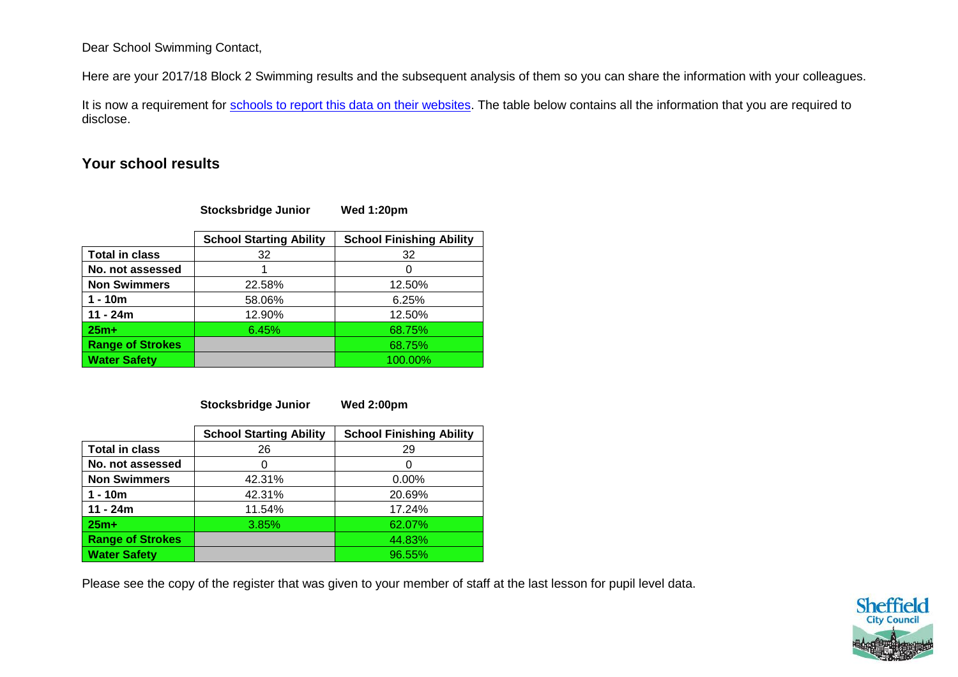## Dear School Swimming Contact,

Here are your 2017/18 Block 2 Swimming results and the subsequent analysis of them so you can share the information with your colleagues.

It is now a requirement for [schools to report this data on their websites.](https://www.gov.uk/guidance/what-maintained-schools-must-publish-online#pe-and-sport-premium-for-primary-schools) The table below contains all the information that you are required to disclose.

## **Your school results**

**Stocksbridge Junior Wed 1:20pm**

|                         | <b>School Starting Ability</b> | <b>School Finishing Ability</b> |
|-------------------------|--------------------------------|---------------------------------|
| <b>Total in class</b>   | 32                             | 32                              |
| No. not assessed        |                                |                                 |
| <b>Non Swimmers</b>     | 22.58%                         | 12.50%                          |
| $1 - 10m$               | 58.06%                         | 6.25%                           |
| $11 - 24m$              | 12.90%                         | 12.50%                          |
| $25m+$                  | 6.45%                          | 68.75%                          |
| <b>Range of Strokes</b> |                                | 68.75%                          |
| <b>Water Safety</b>     |                                | 100.00%                         |

**Stocksbridge Junior Wed 2:00pm**

|                         | <b>School Starting Ability</b> | <b>School Finishing Ability</b> |
|-------------------------|--------------------------------|---------------------------------|
| <b>Total in class</b>   | 26                             | 29                              |
| No. not assessed        |                                |                                 |
| <b>Non Swimmers</b>     | 42.31%                         | 0.00%                           |
| $1 - 10m$               | 42.31%                         | 20.69%                          |
| $11 - 24m$              | 11.54%                         | 17.24%                          |
| $25m+$                  | 3.85%                          | 62.07%                          |
| <b>Range of Strokes</b> |                                | 44.83%                          |
| <b>Water Safety</b>     |                                | 96.55%                          |

Please see the copy of the register that was given to your member of staff at the last lesson for pupil level data.